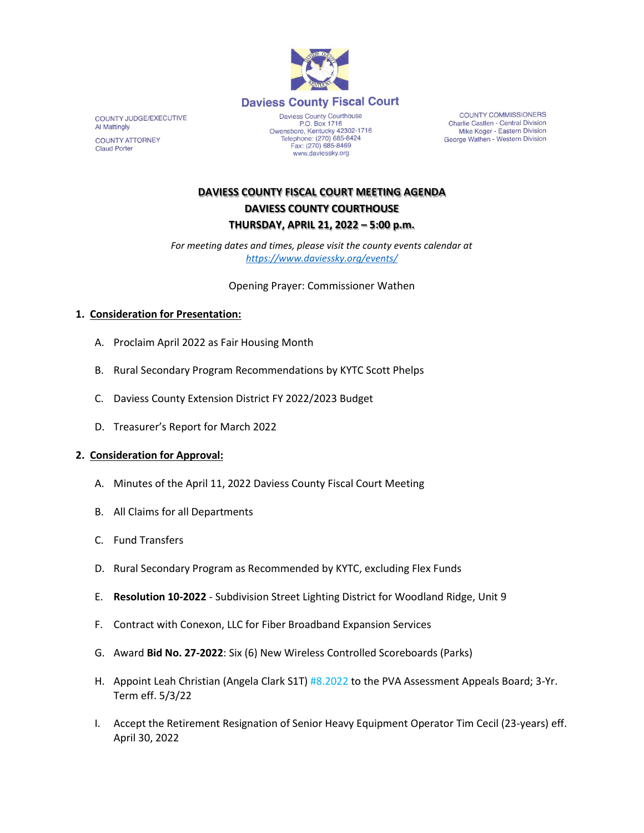

COUNTY JUDGE/EXECUTIVE Al Mattingly **COUNTY ATTORNEY Claud Porter** 

Daviess County Courthouse P.O. Box 1716<br>Depends 1716<br>Comparison Centucky 42302-1716<br>Telephone: (270) 685-8424 Fax: (270) 685-8469 www.daviessky.org

**COUNTY COMMISSIONERS** Charlie Castlen - Central Division Mike Koger - Eastern Division George Wathen - Western Division

## **DAVIESS COUNTY FISCAL COURT MEETING AGENDA DAVIESS COUNTY COURTHOUSE THURSDAY, APRIL 21, 2022 – 5:00 p.m.**

*For meeting dates and times, please visit the county events calendar at <https://www.daviessky.org/events/>*

Opening Prayer: Commissioner Wathen

## **1. Consideration for Presentation:**

- A. Proclaim April 2022 as Fair Housing Month
- B. Rural Secondary Program Recommendations by KYTC Scott Phelps
- C. Daviess County Extension District FY 2022/2023 Budget
- D. Treasurer's Report for March 2022

## **2. Consideration for Approval:**

- A. Minutes of the April 11, 2022 Daviess County Fiscal Court Meeting
- B. All Claims for all Departments
- C. Fund Transfers
- D. Rural Secondary Program as Recommended by KYTC, excluding Flex Funds
- E. **Resolution 10-2022** Subdivision Street Lighting District for Woodland Ridge, Unit 9
- F. Contract with Conexon, LLC for Fiber Broadband Expansion Services
- G. Award **Bid No. 27-2022**: Six (6) New Wireless Controlled Scoreboards (Parks)
- H. Appoint Leah Christian (Angela Clark S1T) #8.2022 to the PVA Assessment Appeals Board; 3-Yr. Term eff. 5/3/22
- I. Accept the Retirement Resignation of Senior Heavy Equipment Operator Tim Cecil (23-years) eff. April 30, 2022